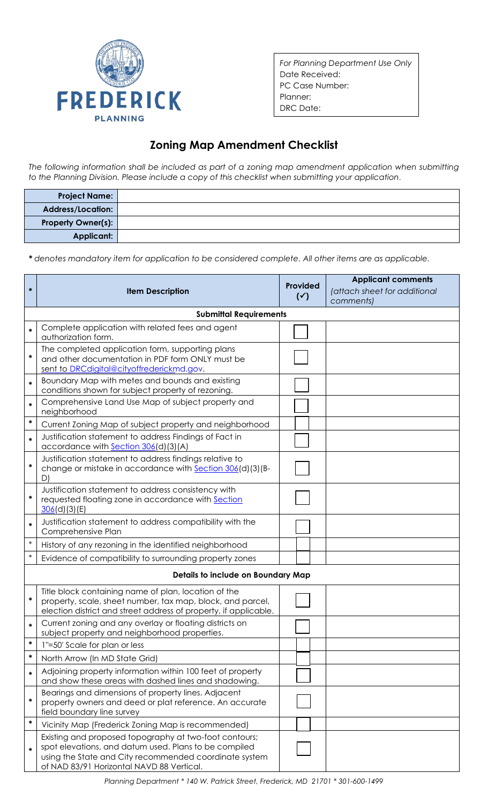

*For Planning Department Use Only* Date Received: PC Case Number: Planner: DRC Date:

## **Zoning Map Amendment Checklist**

*The following information shall be included as part of a zoning map amendment application when submitting to the Planning Division. Please include a copy of this checklist when submitting your application.*

| <b>Project Name:</b>      |  |
|---------------------------|--|
| Address/Location:         |  |
| <b>Property Owner(s):</b> |  |
| Applicant:                |  |

*\* denotes mandatory item for application to be considered complete. All other items are as applicable.*

| $\ast$                             | <b>Item Description</b>                                                                                                                                                                                                | Provided<br>$(\checkmark)$ | <b>Applicant comments</b><br>(attach sheet for additional<br>comments) |  |  |  |  |
|------------------------------------|------------------------------------------------------------------------------------------------------------------------------------------------------------------------------------------------------------------------|----------------------------|------------------------------------------------------------------------|--|--|--|--|
| <b>Submittal Requirements</b>      |                                                                                                                                                                                                                        |                            |                                                                        |  |  |  |  |
| $\ast$                             | Complete application with related fees and agent<br>authorization form.                                                                                                                                                |                            |                                                                        |  |  |  |  |
| $\ast$                             | The completed application form, supporting plans<br>and other documentation in PDF form ONLY must be<br>sent to DRCdigital@cityoffrederickmd.gov.                                                                      |                            |                                                                        |  |  |  |  |
| $\ast$                             | Boundary Map with metes and bounds and existing<br>conditions shown for subject property of rezoning.                                                                                                                  |                            |                                                                        |  |  |  |  |
| $\ast$                             | Comprehensive Land Use Map of subject property and<br>neighborhood                                                                                                                                                     |                            |                                                                        |  |  |  |  |
| $\ast$                             | Current Zoning Map of subject property and neighborhood                                                                                                                                                                |                            |                                                                        |  |  |  |  |
| $\ast$                             | Justification statement to address Findings of Fact in<br>accordance with Section 306(d)(3)(A)                                                                                                                         |                            |                                                                        |  |  |  |  |
| *                                  | Justification statement to address findings relative to<br>change or mistake in accordance with Section 306(d)(3)(B-<br>D)                                                                                             |                            |                                                                        |  |  |  |  |
| $\ast$                             | Justification statement to address consistency with<br>requested floating zone in accordance with Section<br>306(d)(3)(E)                                                                                              |                            |                                                                        |  |  |  |  |
| $\ast$                             | Justification statement to address compatibility with the<br>Comprehensive Plan                                                                                                                                        |                            |                                                                        |  |  |  |  |
| $\ast$                             | History of any rezoning in the identified neighborhood                                                                                                                                                                 |                            |                                                                        |  |  |  |  |
| $\ast$                             | Evidence of compatibility to surrounding property zones                                                                                                                                                                |                            |                                                                        |  |  |  |  |
| Details to include on Boundary Map |                                                                                                                                                                                                                        |                            |                                                                        |  |  |  |  |
| $\ast$                             | Title block containing name of plan, location of the<br>property, scale, sheet number, tax map, block, and parcel,<br>election district and street address of property, if applicable.                                 |                            |                                                                        |  |  |  |  |
| $\ast$                             | Current zoning and any overlay or floating districts on<br>subject property and neighborhood properties.                                                                                                               |                            |                                                                        |  |  |  |  |
| $\ast$                             | 1"=50' Scale for plan or less                                                                                                                                                                                          |                            |                                                                        |  |  |  |  |
| $\ast$                             | North Arrow (In MD State Grid)                                                                                                                                                                                         |                            |                                                                        |  |  |  |  |
| $\ast$                             | Adjoining property information within 100 feet of property<br>and show these areas with dashed lines and shadowing.                                                                                                    |                            |                                                                        |  |  |  |  |
| $\ast$                             | Bearings and dimensions of property lines. Adjacent<br>property owners and deed or plat reference. An accurate<br>field boundary line survey                                                                           |                            |                                                                        |  |  |  |  |
| $\ast$                             | Vicinity Map (Frederick Zoning Map is recommended)                                                                                                                                                                     |                            |                                                                        |  |  |  |  |
|                                    | Existing and proposed topography at two-foot contours;<br>spot elevations, and datum used. Plans to be compiled<br>using the State and City recommended coordinate system<br>of NAD 83/91 Horizontal NAVD 88 Vertical. |                            |                                                                        |  |  |  |  |